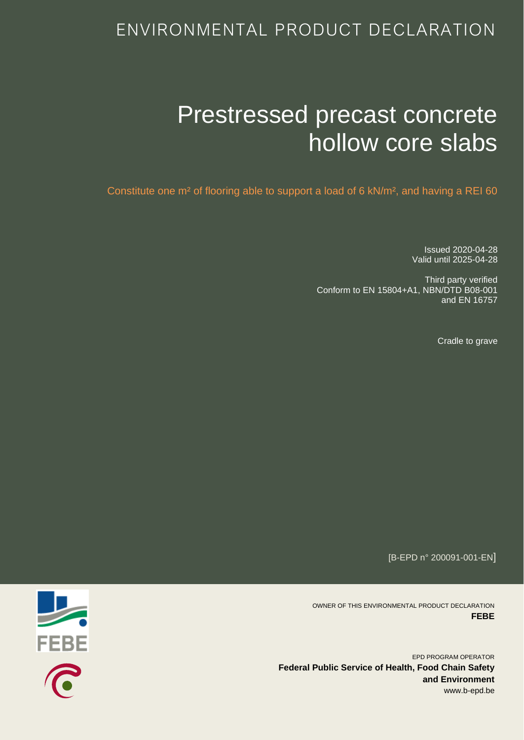# ENVIRONMENTAL PRODUCT DECLARATION

# Prestressed precast concrete hollow core slabs

Constitute one m² of flooring able to support a load of 6 kN/m², and having a REI 60

Issued 2020-04-28 Valid until 2025-04-28

Third party verified Conform to EN 15804+A1, NBN/DTD B08-001 and EN 16757

Cradle to grave

[B-EPD n° 200091-001-EN]

OWNER OF THIS ENVIRONMENTAL PRODUCT DECLARATION **FEBE**

EPD PROGRAM OPERATOR **Federal Public Service of Health, Food Chain Safety and Environment** www.b-epd.be

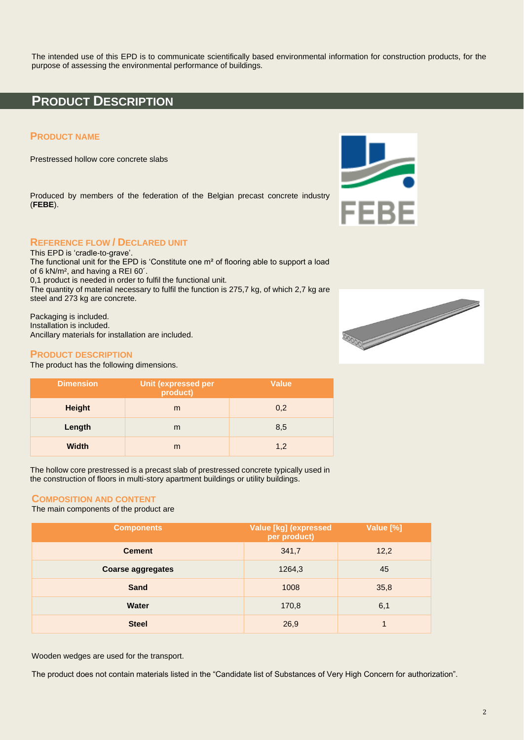The intended use of this EPD is to communicate scientifically based environmental information for construction products, for the purpose of assessing the environmental performance of buildings.

### **PRODUCT DESCRIPTION**

### **PRODUCT NAME**

Prestressed hollow core concrete slabs

Produced by members of the federation of the Belgian precast concrete industry (**FEBE**).



### **REFERENCE FLOW / DECLARED UNIT**

This EPD is 'cradle-to-grave'. The functional unit for the EPD is 'Constitute one m² of flooring able to support a load of 6 kN/m², and having a REI 60´. 0,1 product is needed in order to fulfil the functional unit.

The quantity of material necessary to fulfil the function is 275,7 kg, of which 2,7 kg are steel and 273 kg are concrete.

Packaging is included. Installation is included. Ancillary materials for installation are included.

### **PRODUCT DESCRIPTION**

The product has the following dimensions.

| <b>Dimension</b> | <b>Unit (expressed per</b><br>product) | <b>Value</b> |
|------------------|----------------------------------------|--------------|
| <b>Height</b>    | m                                      | 0,2          |
| Length           | m                                      | 8,5          |
| <b>Width</b>     | m                                      | 1.2          |

The hollow core prestressed is a precast slab of prestressed concrete typically used in the construction of floors in multi-story apartment buildings or utility buildings.

### **COMPOSITION AND CONTENT**

The main components of the product are

| <b>Components</b>        | Value [kg] (expressed<br>per product) | Value [%] |
|--------------------------|---------------------------------------|-----------|
| <b>Cement</b>            | 341,7                                 | 12,2      |
| <b>Coarse aggregates</b> | 1264,3                                | 45        |
| <b>Sand</b>              | 1008                                  | 35,8      |
| <b>Water</b>             | 170,8                                 | 6,1       |
| <b>Steel</b>             | 26,9                                  |           |

Wooden wedges are used for the transport.

The product does not contain materials listed in the "Candidate list of Substances of Very High Concern for authorization".

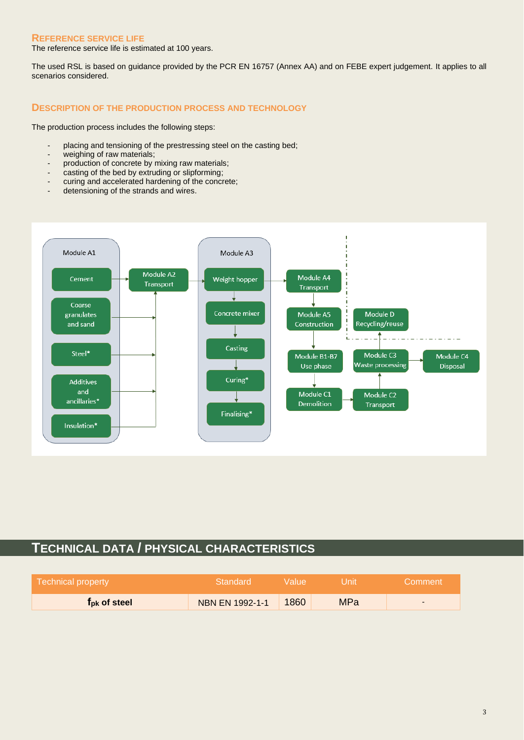### **REFERENCE SERVICE LIFE**

The reference service life is estimated at 100 years.

The used RSL is based on guidance provided by the PCR EN 16757 (Annex AA) and on FEBE expert judgement. It applies to all scenarios considered.

### **DESCRIPTION OF THE PRODUCTION PROCESS AND TECHNOLOGY**

The production process includes the following steps:

- placing and tensioning of the prestressing steel on the casting bed;
- weighing of raw materials;
- production of concrete by mixing raw materials;
- casting of the bed by extruding or slipforming;
- curing and accelerated hardening of the concrete;
- detensioning of the strands and wires.



# **TECHNICAL DATA / PHYSICAL CHARACTERISTICS**

| Technical property              | Standard               | Walue! | Unit       | Comment                  |
|---------------------------------|------------------------|--------|------------|--------------------------|
| <b>T</b> <sub>pk</sub> of steel | <b>NBN EN 1992-1-1</b> | 1860   | <b>MPa</b> | $\overline{\phantom{0}}$ |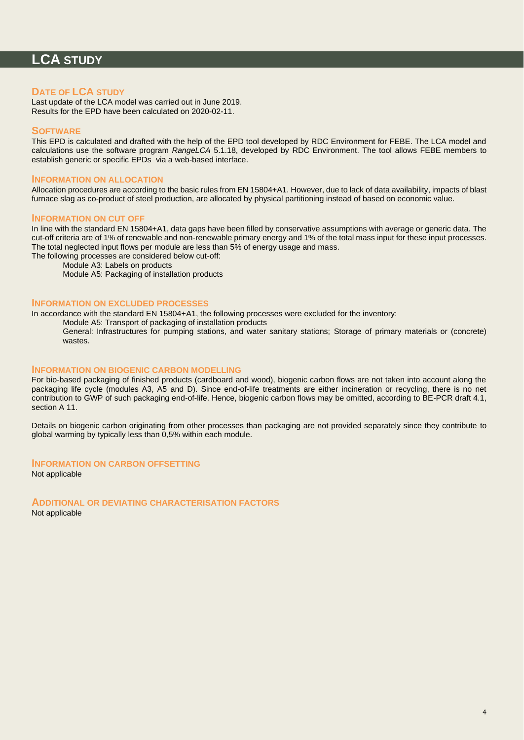# **LCA STUDY**

### **DATE OF LCA STUDY**

Last update of the LCA model was carried out in June 2019. Results for the EPD have been calculated on 2020-02-11.

### **SOFTWARE**

This EPD is calculated and drafted with the help of the EPD tool developed by RDC Environment for FEBE. The LCA model and calculations use the software program *RangeLCA* 5.1.18, developed by RDC Environment. The tool allows FEBE members to establish generic or specific EPDs via a web-based interface.

### **INFORMATION ON ALLOCATION**

Allocation procedures are according to the basic rules from EN 15804+A1. However, due to lack of data availability, impacts of blast furnace slag as co-product of steel production, are allocated by physical partitioning instead of based on economic value.

#### **INFORMATION ON CUT OFF**

In line with the standard EN 15804+A1, data gaps have been filled by conservative assumptions with average or generic data. The cut-off criteria are of 1% of renewable and non-renewable primary energy and 1% of the total mass input for these input processes. The total neglected input flows per module are less than 5% of energy usage and mass.

The following processes are considered below cut-off:

Module A3: Labels on products

Module A5: Packaging of installation products

### **INFORMATION ON EXCLUDED PROCESSES**

In accordance with the standard EN 15804+A1, the following processes were excluded for the inventory:

Module A5: Transport of packaging of installation products

General: Infrastructures for pumping stations, and water sanitary stations; Storage of primary materials or (concrete) wastes.

#### **INFORMATION ON BIOGENIC CARBON MODELLING**

For bio-based packaging of finished products (cardboard and wood), biogenic carbon flows are not taken into account along the packaging life cycle (modules A3, A5 and D). Since end-of-life treatments are either incineration or recycling, there is no net contribution to GWP of such packaging end-of-life. Hence, biogenic carbon flows may be omitted, according to BE-PCR draft 4.1, section A 11.

Details on biogenic carbon originating from other processes than packaging are not provided separately since they contribute to global warming by typically less than 0,5% within each module.

### **INFORMATION ON CARBON OFFSETTING**

Not applicable

**ADDITIONAL OR DEVIATING CHARACTERISATION FACTORS**

Not applicable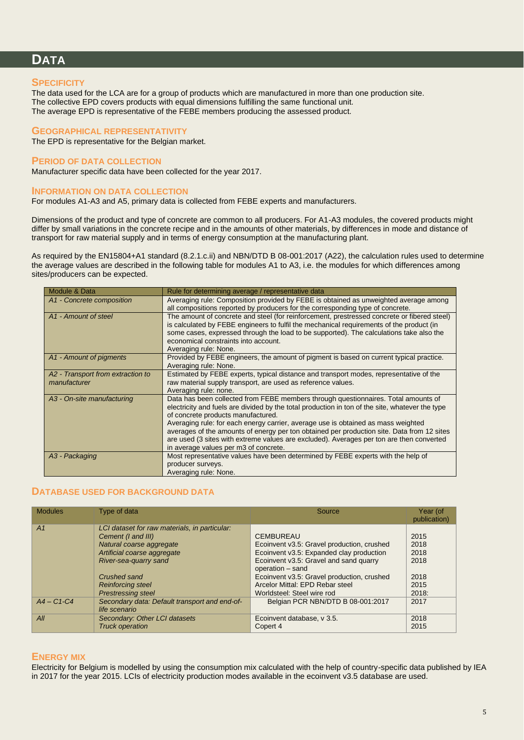# **DATA**

### **SPECIFICITY**

The data used for the LCA are for a group of products which are manufactured in more than one production site. The collective EPD covers products with equal dimensions fulfilling the same functional unit. The average EPD is representative of the FEBE members producing the assessed product.

### **GEOGRAPHICAL REPRESENTATIVITY**

The EPD is representative for the Belgian market.

### **PERIOD OF DATA COLLECTION**

Manufacturer specific data have been collected for the year 2017.

### **INFORMATION ON DATA COLLECTION**

For modules A1-A3 and A5, primary data is collected from FEBE experts and manufacturers.

Dimensions of the product and type of concrete are common to all producers. For A1-A3 modules, the covered products might differ by small variations in the concrete recipe and in the amounts of other materials, by differences in mode and distance of transport for raw material supply and in terms of energy consumption at the manufacturing plant.

As required by the EN15804+A1 standard (8.2.1.c.ii) and NBN/DTD B 08-001:2017 (A22), the calculation rules used to determine the average values are described in the following table for modules A1 to A3, i.e. the modules for which differences among sites/producers can be expected.

| Module & Data                                     | Rule for determining average / representative data                                                                                                                                                                                                                                                                                                                                                                                                                                                                                                  |
|---------------------------------------------------|-----------------------------------------------------------------------------------------------------------------------------------------------------------------------------------------------------------------------------------------------------------------------------------------------------------------------------------------------------------------------------------------------------------------------------------------------------------------------------------------------------------------------------------------------------|
| A1 - Concrete composition                         | Averaging rule: Composition provided by FEBE is obtained as unweighted average among<br>all compositions reported by producers for the corresponding type of concrete.                                                                                                                                                                                                                                                                                                                                                                              |
| A <sub>1</sub> - Amount of steel                  | The amount of concrete and steel (for reinforcement, prestressed concrete or fibered steel)<br>is calculated by FEBE engineers to fulfil the mechanical requirements of the product (in<br>some cases, expressed through the load to be supported). The calculations take also the<br>economical constraints into account.<br>Averaging rule: None.                                                                                                                                                                                                 |
| A1 - Amount of pigments                           | Provided by FEBE engineers, the amount of pigment is based on current typical practice.<br>Averaging rule: None.                                                                                                                                                                                                                                                                                                                                                                                                                                    |
| A2 - Transport from extraction to<br>manufacturer | Estimated by FEBE experts, typical distance and transport modes, representative of the<br>raw material supply transport, are used as reference values.<br>Averaging rule: none.                                                                                                                                                                                                                                                                                                                                                                     |
| A3 - On-site manufacturing                        | Data has been collected from FEBE members through questionnaires. Total amounts of<br>electricity and fuels are divided by the total production in ton of the site, whatever the type<br>of concrete products manufactured.<br>Averaging rule: for each energy carrier, average use is obtained as mass weighted<br>averages of the amounts of energy per ton obtained per production site. Data from 12 sites<br>are used (3 sites with extreme values are excluded). Averages per ton are then converted<br>in average values per m3 of concrete. |
| A3 - Packaging                                    | Most representative values have been determined by FEBE experts with the help of<br>producer surveys.<br>Averaging rule: None.                                                                                                                                                                                                                                                                                                                                                                                                                      |

### **DATABASE USED FOR BACKGROUND DATA**

| <b>Modules</b> | Type of data                                                                                                                                                                                        | Source                                                                                                                                                                                                                                                    | Year (of<br>publication)                     |
|----------------|-----------------------------------------------------------------------------------------------------------------------------------------------------------------------------------------------------|-----------------------------------------------------------------------------------------------------------------------------------------------------------------------------------------------------------------------------------------------------------|----------------------------------------------|
| A <sub>1</sub> | LCI dataset for raw materials, in particular:<br>Cement (I and III)<br>Natural coarse aggregate<br>Artificial coarse aggregate<br>River-sea-quarry sand<br>Crushed sand<br><b>Reinforcing steel</b> | <b>CEMBUREAU</b><br>Ecoinvent v3.5: Gravel production, crushed<br>Ecoinvent v3.5: Expanded clay production<br>Ecoinvent v3.5: Gravel and sand quarry<br>operation - sand<br>Ecoinvent v3.5: Gravel production, crushed<br>Arcelor Mittal: EPD Rebar steel | 2015<br>2018<br>2018<br>2018<br>2018<br>2015 |
|                | <b>Prestressing steel</b>                                                                                                                                                                           | Worldsteel: Steel wire rod                                                                                                                                                                                                                                | 2018:                                        |
| $A4 - C1 - C4$ | Secondary data: Default transport and end-of-<br>life scenario                                                                                                                                      | Belgian PCR NBN/DTD B 08-001:2017                                                                                                                                                                                                                         | 2017                                         |
| All            | Secondary: Other LCI datasets<br><b>Truck operation</b>                                                                                                                                             | Ecoinvent database, v 3.5.<br>Copert 4                                                                                                                                                                                                                    | 2018<br>2015                                 |

### **ENERGY MIX**

Electricity for Belgium is modelled by using the consumption mix calculated with the help of country-specific data published by IEA in 2017 for the year 2015. LCIs of electricity production modes available in the ecoinvent v3.5 database are used.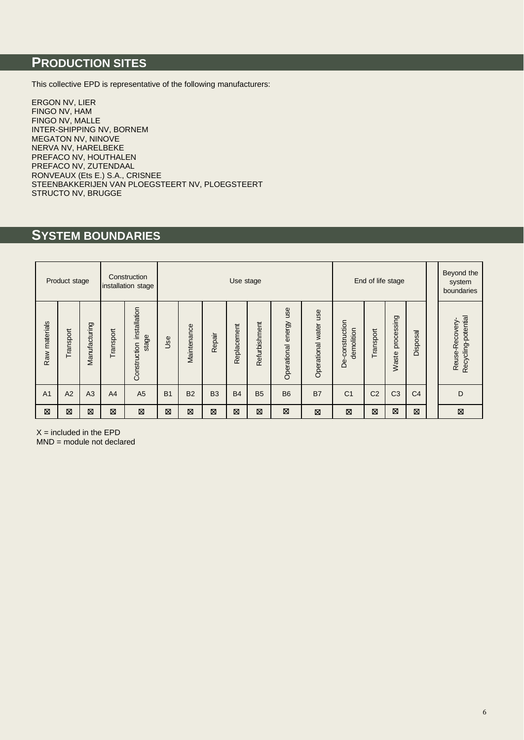# **PRODUCTION SITES**

This collective EPD is representative of the following manufacturers:

ERGON NV, LIER FINGO NV, HAM FINGO NV, MALLE INTER-SHIPPING NV, BORNEM MEGATON NV, NINOVE NERVA NV, HARELBEKE PREFACO NV, HOUTHALEN PREFACO NV, ZUTENDAAL RONVEAUX (Ets E.) S.A., CRISNEE STEENBAKKERIJEN VAN PLOEGSTEERT NV, PLOEGSTEERT STRUCTO NV, BRUGGE

# **SYSTEM BOUNDARIES**

|                | Product stage |               |           | Construction<br>installation stage    |                | End of life stage<br>Use stage                 |                |             |               |                           |                             |                               |                | Beyond the<br>system<br>boundaries |                |                                       |
|----------------|---------------|---------------|-----------|---------------------------------------|----------------|------------------------------------------------|----------------|-------------|---------------|---------------------------|-----------------------------|-------------------------------|----------------|------------------------------------|----------------|---------------------------------------|
| Raw materials  | Transport     | Manufacturing | Transport | installation<br>stage<br>Construction | Use            | Maintenance                                    | Repair         | Replacement | Refurbishment | use<br>Operational energy | use<br>water<br>Operational | De-construction<br>demolition | Transport      | processing<br>Waste                | Disposal       | Recycling-potential<br>Reuse-Recovery |
| A <sub>1</sub> | A2            | A3            | A4        | A <sub>5</sub>                        | B <sub>1</sub> | <b>B2</b>                                      | B <sub>3</sub> | <b>B4</b>   | <b>B5</b>     | <b>B6</b>                 | <b>B7</b>                   | C <sub>1</sub>                | C <sub>2</sub> | C <sub>3</sub>                     | C <sub>4</sub> | D                                     |
| ⊠              | ⊠             | X             | ⊠         | ⊠                                     | ⊠              | ⊠<br>⊠<br>⊠<br>⊠<br>⊠<br>⊠<br>⊠<br>⊠<br>Ø<br>⊠ |                |             |               |                           |                             |                               |                | ⊠                                  |                |                                       |

 $X =$  included in the EPD

MND = module not declared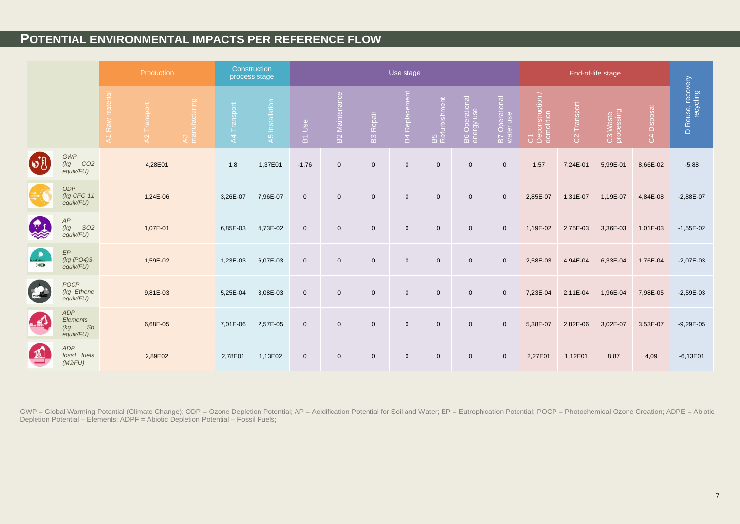# **POTENTIAL ENVIRONMENTAL IMPACTS PER REFERENCE FLOW**

|                   | Production                                             |                                |                             | Construction<br>process stage |              |                 |                     | Use stage                 |                  |                       |                     |                              |                             |                                      |                          |                        |             |                                 |
|-------------------|--------------------------------------------------------|--------------------------------|-----------------------------|-------------------------------|--------------|-----------------|---------------------|---------------------------|------------------|-----------------------|---------------------|------------------------------|-----------------------------|--------------------------------------|--------------------------|------------------------|-------------|---------------------------------|
|                   |                                                        | Raw<br>$\overline{\mathbf{z}}$ | Transport<br>$\overline{A}$ | A3<br>manufacturing           | A4 Transport | A5 Installation | B1 Use              | nance<br><b>B2 Mainte</b> | <b>B3 Repair</b> | <b>B4</b> Replacement | B5<br>Refurbishment | B6 Operational<br>energy use | B7 Operational<br>water use | C1<br>Deconstruction /<br>demolition | C <sub>2</sub> Transport | C3 Waste<br>processing | C4 Disposal | D Reuse, recovery,<br>recycling |
| $\mathbf{v}$      | <b>GWP</b><br>CO <sub>2</sub><br>(kg)<br>equiv/FU)     |                                | 4,28E01                     |                               | 1,8          | 1,37E01         | $-1,76$             | $\mathbf 0$               | $\mathbf 0$      | $\mathbf 0$           | $\mathbf 0$         | $\mathsf 0$                  | $\mathbf 0$                 | 1,57                                 | 7,24E-01                 | 5,99E-01               | 8,66E-02    | $-5,88$                         |
|                   | <b>ODP</b><br>(kg CFC 11<br>equiv/FU)                  |                                | 1,24E-06                    |                               | 3,26E-07     | 7,96E-07        | $\mathbf 0$         | $\mathbf 0$               | $\mathbf 0$      | $\mathbf 0$           | $\mathbf 0$         | $\mathsf 0$                  | $\mathbf 0$                 | 2,85E-07                             | 1,31E-07                 | 1,19E-07               | 4,84E-08    | $-2,88E-07$                     |
| $\bigoplus$<br>N  | AP<br><b>SO2</b><br>(kg SC)<br>equiv/FU)               |                                | 1,07E-01                    |                               | 6,85E-03     | 4,73E-02        | $\mathbf 0$         | $\mathbf 0$               | $\mathbf 0$      | $\mathbf 0$           | $\mathbf 0$         | $\mathbf 0$                  | $\mathbf 0$                 | 1,19E-02                             | 2,75E-03                 | 3,36E-03               | 1,01E-03    | $-1,55E-02$                     |
| $\bullet$<br>HIII | $\ensuremath{\mathsf{EP}}$<br>(kg (PO4)3-<br>equiv/FU) |                                | 1,59E-02                    |                               | 1,23E-03     | 6,07E-03        | $\mathbf 0$         | $\mathbf 0$               | $\mathbf{0}$     | $\mathbf 0$           | $\mathbf 0$         | $\mathbf 0$                  | $\mathbf 0$                 | 2,58E-03                             | 4,94E-04                 | 6,33E-04               | 1,76E-04    | $-2,07E-03$                     |
| 2                 | POCP<br>(kg Ethene<br>equiv/FU)                        |                                | 9,81E-03                    |                               | 5,25E-04     | 3,08E-03        | $\mathsf{O}\xspace$ | $\boldsymbol{0}$          | $\mathbf 0$      | $\mathbf 0$           | $\mathbf 0$         | $\mathbf 0$                  | $\mathbf 0$                 | 7,23E-04                             | 2,11E-04                 | 1,96E-04               | 7,98E-05    | $-2,59E-03$                     |
| La                | <b>ADP</b><br>Elements<br>Sb<br>(kg<br>equiv/FU)       |                                | 6,68E-05                    |                               | 7,01E-06     | 2,57E-05        | $\mathbf 0$         | $\boldsymbol{0}$          | $\mathbf 0$      | $\mathbf 0$           | $\mathbf 0$         | $\mathbf 0$                  | $\mathbf 0$                 | 5,38E-07                             | 2,82E-06                 | 3,02E-07               | 3,53E-07    | $-9,29E-05$                     |
| 瓜                 | <b>ADP</b><br>fossil fuels<br>(MJ/FU)                  |                                | 2,89E02                     |                               | 2,78E01      | 1,13E02         | $\mathbf 0$         | $\mathbf 0$               | $\mathbf 0$      | $\mathbf 0$           | $\mathbf 0$         | $\mathbf 0$                  | $\mathbf 0$                 | 2,27E01                              | 1,12E01                  | 8,87                   | 4,09        | $-6,13E01$                      |

GWP = Global Warming Potential (Climate Change); ODP = Ozone Depletion Potential; AP = Acidification Potential for Soil and Water; EP = Eutrophication Potential; POCP = Photochemical Ozone Creation; ADPE = Abiotic Depletion Potential – Elements; ADPF = Abiotic Depletion Potential – Fossil Fuels;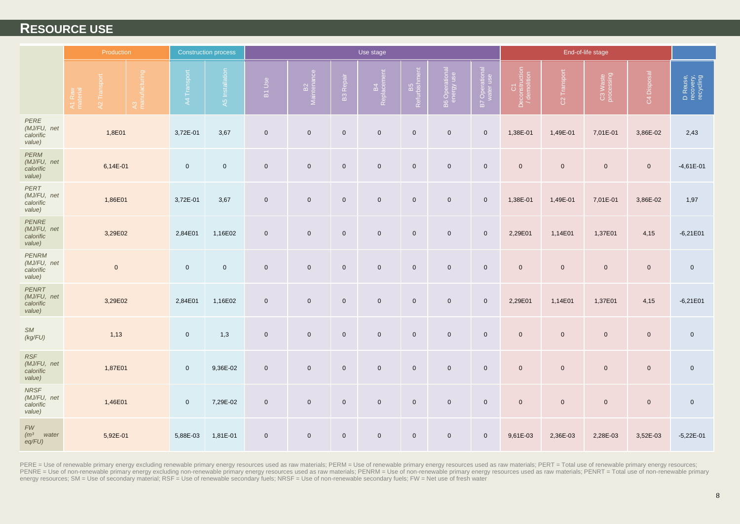### **RESOURCE USE**

|                                                   | Production                                                |  |                     | <b>Construction process</b> | Use stage    |                               |                     |                     |                     |                     |                             |                                     | End-of-life stage        |                        |                     |                                    |      |            |
|---------------------------------------------------|-----------------------------------------------------------|--|---------------------|-----------------------------|--------------|-------------------------------|---------------------|---------------------|---------------------|---------------------|-----------------------------|-------------------------------------|--------------------------|------------------------|---------------------|------------------------------------|------|------------|
|                                                   | A3<br>manufacturing<br>42 Transport<br>A1 Raw<br>material |  | A4 Transport        | A5 Installation             | B1 Use       | B <sub>2</sub><br>Maintenance | <b>B3</b> Repair    | B4<br>Replacement   | B5<br>Refurbishment | B6 Operational      | B7 Operational<br>water use | C1<br>Deconstruction<br>/demolition | C <sub>2</sub> Transport | C3 Waste<br>processing | C4 Disposal         | D Reuse,<br>recovery,<br>recycling |      |            |
| <b>PERE</b><br>(MJ/FU, net<br>calorific<br>value) | 1,8E01                                                    |  | 3,72E-01            | 3,67                        | $\mathbf 0$  | $\mathsf{O}\xspace$           | $\mathsf 0$         | $\mathbf 0$         | $\overline{0}$      | $\mathbf 0$         | $\mathsf 0$                 | 1,38E-01                            | 1,49E-01                 | 7,01E-01               | 3,86E-02            | 2,43                               |      |            |
| PERM<br>(MJ/FU, net<br>calorific<br>value)        | 6,14E-01                                                  |  | $\mathbf 0$         | $\mathbf 0$                 | $\mathsf{O}$ | $\mathsf{O}\xspace$           | $\mathbf 0$         | $\mathbf 0$         | $\mathsf{O}$        | $\mathsf{O}\xspace$ | $\mathbf 0$                 | $\mathsf{O}\xspace$                 | $\mathsf{O}\xspace$      | $\mathbf 0$            | $\mathsf{O}\xspace$ | $-4,61E-01$                        |      |            |
| PERT<br>(MJ/FU, net<br>calorific<br>value)        | 1,86E01                                                   |  | 3,72E-01            | 3,67                        | $\mathsf 0$  | $\mathsf{O}\xspace$           | $\mathbf 0$         | $\mathbf 0$         | $\mathsf{O}$        | $\mathbf 0$         | $\mathsf 0$                 | 1,38E-01                            | 1,49E-01                 | 7,01E-01               | 3,86E-02            | 1,97                               |      |            |
| PENRE<br>(MJ/FU, net<br>calorific<br>value)       | 3,29E02                                                   |  |                     |                             | 2,84E01      | 1,16E02                       | $\mathsf 0$         | $\mathsf{O}\xspace$ | $\mathsf 0$         | $\mathbf 0$         | $\overline{0}$              | $\mathsf{O}\xspace$                 | $\mathbf 0$              | 2,29E01                | 1,14E01             | 1,37E01                            | 4,15 | $-6,21E01$ |
| PENRM<br>(MJ/FU, net<br>calorific<br>value)       | $\mathbf 0$                                               |  | $\mathbf 0$         | $\mathbf{0}$                | $\mathbf 0$  | $\mathbf 0$                   | $\mathbf 0$         | $\overline{0}$      | $\overline{0}$      | $\mathbf 0$         | $\mathsf 0$                 | $\mathbf{0}$                        | $\mathsf{O}\xspace$      | $\mathbf{0}$           | $\overline{0}$      | $\mathbf 0$                        |      |            |
| PENRT<br>(MJ/FU, net<br>calorific<br>value)       | 3,29E02                                                   |  | 2,84E01             | 1,16E02                     | $\mathbf 0$  | $\mathbf 0$                   | $\mathbf 0$         | $\overline{0}$      | $\overline{0}$      | $\mathbf 0$         | $\mathsf 0$                 | 2,29E01                             | 1,14E01                  | 1,37E01                | 4,15                | $-6,21E01$                         |      |            |
| ${\sf S}M$<br>(kg/FU)                             | 1,13                                                      |  | $\mathbf 0$         | 1,3                         | $\mathsf{O}$ | $\mathsf{O}\xspace$           | $\mathsf{O}\xspace$ | $\mathbf 0$         | $\mathsf{O}$        | $\mathsf{O}\xspace$ | $\mathbf 0$                 | $\mathbf 0$                         | $\mathsf{O}\xspace$      | $\mathsf{O}\xspace$    | $\mathsf{O}\xspace$ | $\mathbf 0$                        |      |            |
| RSF<br>(MJ/FU, net<br>calorific<br>value)         | 1,87E01                                                   |  | $\mathsf{O}\xspace$ | 9,36E-02                    | $\mathsf{O}$ | $\mathsf{O}\xspace$           | $\mathsf{O}\xspace$ | $\pmb{0}$           | $\mathbf 0$         | $\mathbf 0$         | $\mathbf 0$                 | $\mathsf{O}\xspace$                 | $\pmb{0}$                | $\mathbf 0$            | $\overline{0}$      | $\mathbf 0$                        |      |            |
| <b>NRSF</b><br>(MJ/FU, net<br>calorific<br>value) | 1,46E01                                                   |  | $\mathsf{O}\xspace$ | 7,29E-02                    | $\mathsf 0$  | $\mathsf{O}\xspace$           | $\mathsf 0$         | $\mathbf 0$         | $\overline{0}$      | $\mathsf{O}\xspace$ | $\mathbf 0$                 | $\mathsf{O}\xspace$                 | $\mathsf{O}\xspace$      | $\mathsf{O}\xspace$    | $\mathbf 0$         | $\mathbf 0$                        |      |            |
| ${\it FW}$<br>(m <sup>3</sup> )<br>water<br>eq/FU | 5,92E-01                                                  |  | 5,88E-03            | 1,81E-01                    | $\mathbf 0$  | $\mathbf 0$                   | $\mathbf 0$         | $\mathbf 0$         | $\overline{0}$      | $\mathbf 0$         | $\mathbf 0$                 | 9,61E-03                            | 2,36E-03                 | 2,28E-03               | 3,52E-03            | $-5,22E-01$                        |      |            |

PERE = Use of renewable primary energy excluding renewable primary energy resources used as raw materials; PERM = Use of renewable primary energy resources used as raw materials; PERT = Total use of renewable primary energ PENRE = Use of non-renewable primary energy excluding non-renewable primary energy resources used as raw materials; PENRM = Use of non-renewable primary energy resources used as raw materials; PENRT = Total use of non-rene energy resources; SM = Use of secondary material; RSF = Use of renewable secondary fuels; NRSF = Use of non-renewable secondary fuels; FW = Net use of fresh water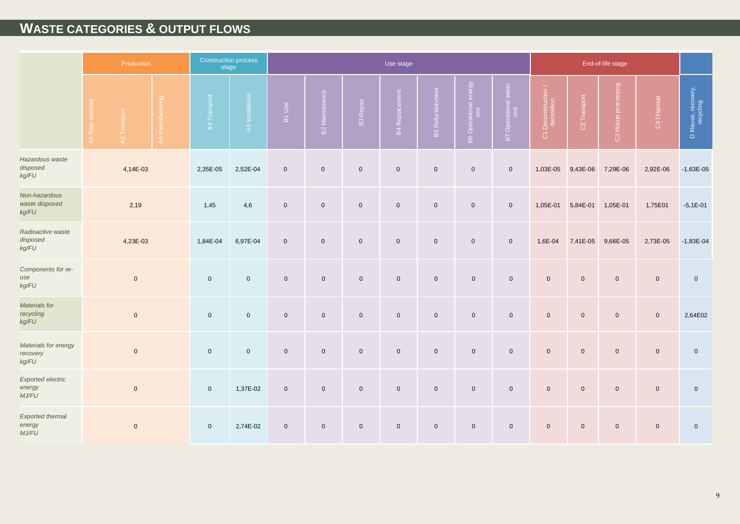# **WASTE CATEGORIES & OUTPUT FLOWS**

|                                             |                | Production   |                  |                     | <b>Construction process</b><br>stage |                |                       |                  | Use stage             |                         |                            |                                |                                             |                |                     |                     |                                 |          |             |
|---------------------------------------------|----------------|--------------|------------------|---------------------|--------------------------------------|----------------|-----------------------|------------------|-----------------------|-------------------------|----------------------------|--------------------------------|---------------------------------------------|----------------|---------------------|---------------------|---------------------------------|----------|-------------|
|                                             | A1 Raw materia | A2 Transport | A3 manufacturing | A4 Transport        | A5 Installation                      | B1 Use         | <b>B2 Maintenance</b> | <b>B3 Repair</b> | <b>B4 Replacement</b> | <b>B5 Refurbishment</b> | energy<br>B6 Operational e | water<br>B7 Operational<br>use | I Deconstruction<br>$\overline{\texttt{o}}$ | C2 Transport   | C3 Waste processing | C4 Disposal         | D Reuse, recovery,<br>recycling |          |             |
| Hazardous waste<br>disposed<br>kg/FU        |                | 4,14E-03     |                  | 2,35E-05            | 2,52E-04                             | $\mathsf 0$    | $\mathbf 0$           | $\mathbf 0$      | $\mathbf 0$           | $\overline{0}$          | $\overline{0}$             | $\overline{0}$                 | 1,03E-05                                    | 9,43E-06       | 7,29E-06            | 2,92E-06            | $-1,63E-05$                     |          |             |
| Non-hazardous<br>waste disposed<br>kg/FU    |                | 2,19         |                  | 1,45                | 4,6                                  | $\mathsf 0$    | $\mathbf 0$           | $\mathbf 0$      | $\mathbf 0$           | $\mathbf 0$             | $\mathbf 0$                | $\overline{0}$                 | 1,05E-01                                    | 5,84E-01       | 1,05E-01            | 1,75E01             | $-5,1E-01$                      |          |             |
| Radioactive waste<br>disposed<br>kg/FU      | 4,23E-03       |              |                  |                     |                                      | 1,84E-04       | 6,97E-04              | $\mathsf 0$      | $\mathbf 0$           | $\mathsf{O}\xspace$     | $\mathsf{O}\xspace$        | $\overline{0}$                 | $\overline{0}$                              | $\overline{0}$ | 1,6E-04             | 7,41E-05            | 9,66E-05                        | 2,73E-05 | $-1,83E-04$ |
| Components for re-<br>use<br>kg/FU          |                | $\mathbf{0}$ |                  | $\mathbf 0$         | $\overline{0}$                       | $\overline{0}$ | $\mathbf 0$           | $\mathbf{0}$     | $\mathbf{0}$          | $\overline{0}$          | $\mathbf{0}$               | $\mathbf{0}$                   | $\mathbf{0}$                                | $\mathbf{0}$   | $\mathbf{0}$        | $\mathbf 0$         | $\mathbf 0$                     |          |             |
| Materials for<br>recycling<br>kg/FU         |                | $\mathbf{0}$ |                  | $\overline{0}$      | $\mathbf 0$                          | $\overline{0}$ | $\mathbf 0$           | $\mathbf 0$      | $\mathbf 0$           | $\mathbf 0$             | $\mathbf 0$                | $\mathbf 0$                    | $\mathbf{0}$                                | $\mathbf{0}$   | $\overline{0}$      | $\mathbf{0}$        | 2,64E02                         |          |             |
| Materials for energy<br>recovery<br>kg/FU   |                | $\mathbf{0}$ |                  | $\mathsf{O}\xspace$ | $\mathbf 0$                          | $\mathbf 0$    | $\mathbf 0$           | $\mathbf 0$      | $\mathbf 0$           | $\overline{0}$          | $\overline{0}$             | $\mathbf 0$                    | $\mathbf{0}$                                | $\mathbf{0}$   | $\mathbf 0$         | $\mathbf 0$         | $\mathsf{O}\xspace$             |          |             |
| <b>Exported electric</b><br>energy<br>MJ/FU |                | $\mathbf{0}$ |                  | $\mathbf 0$         | 1,37E-02                             | $\mathbf 0$    | $\mathsf{O}$          | $\mathsf 0$      | $\mathsf 0$           | $\overline{0}$          | $\overline{0}$             | $\mathbf 0$                    | $\mathsf{O}\xspace$                         | $\overline{0}$ | $\overline{0}$      | $\mathsf{O}\xspace$ | $\mathsf{O}\xspace$             |          |             |
| Exported thermal<br>energy<br>MJ/FU         | $\mathbf 0$    |              | $\overline{0}$   | 2,74E-02            | $\mathbf 0$                          | $\mathbf 0$    | $\mathbf 0$           | $\mathbf 0$      | $\overline{0}$        | $\mathbf 0$             | $\mathbf 0$                | $\mathbf 0$                    | $\mathbf 0$                                 | $\overline{0}$ | $\mathbf 0$         | $\mathbf 0$         |                                 |          |             |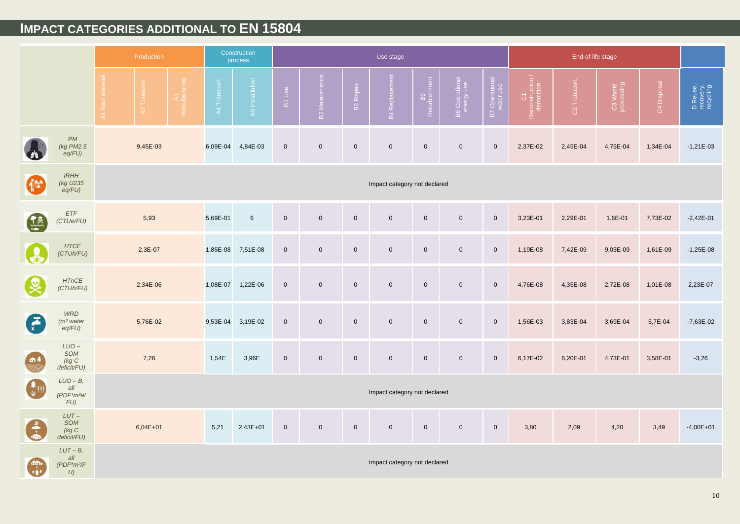# **IMPACT CATEGORIES ADDITIONAL TO EN 15804**

|                      | Production                                      |                              |                            |                 |             | Construction<br>process |                     |                       |                     | Use stage                      |                     |                              |                             |                                      | End-of-life stage |                        |             |                                    |
|----------------------|-------------------------------------------------|------------------------------|----------------------------|-----------------|-------------|-------------------------|---------------------|-----------------------|---------------------|--------------------------------|---------------------|------------------------------|-----------------------------|--------------------------------------|-------------------|------------------------|-------------|------------------------------------|
|                      |                                                 | Raw                          | Transpor<br>$\overline{a}$ | <b>Elinuted</b> | A4 Transpor | A5 Installation         | B1 Use              | <b>B2</b> Maintenance | <b>B3 Repair</b>    | $\overline{5}$<br>B4 Replaceme | B5<br>Refurbishment | B6 Operational<br>energy use | B7 Operational<br>water use | C1<br>Deconstruction /<br>demolition | C2 Transport      | C3 Waste<br>processing | C4 Disposal | D Reuse,<br>recovery,<br>recycling |
|                      | <b>PM</b><br>(kg PM2.5<br>eq/FU                 |                              | 9,45E-03                   |                 | 6,09E-04    | 4,84E-03                | $\mathsf{O}\xspace$ | $\mathbf 0$           | $\mathsf{O}\xspace$ | $\mathsf{O}\xspace$            | $\mathsf{O}\xspace$ | $\mathsf{O}\xspace$          | $\mathbf 0$                 | 2,37E-02                             | 2,45E-04          | 4,75E-04               | 1,34E-04    | $-1,21E-03$                        |
| 任                    | <b>IRHH</b><br>(kg U235<br>$eq/FU$ )            |                              |                            |                 |             |                         |                     |                       |                     | Impact category not declared   |                     |                              |                             |                                      |                   |                        |             |                                    |
| $\frac{1}{2}$        | <b>ETF</b><br>(CTUe/FU)                         |                              | 5,93                       |                 | 5,69E-01    | 6                       | $\mathbf 0$         | $\mathbf 0$           | $\mathbf 0$         | $\mathbf 0$                    | $\mathbf 0$         | $\mathbf 0$                  | $\overline{0}$              | 3,23E-01                             | 2,29E-01          | 1,6E-01                | 7,73E-02    | $-2,42E-01$                        |
|                      | <b>HTCE</b><br>(CTUh/FU)                        |                              | 2,3E-07                    |                 | 1,85E-08    | 7,51E-08                | $\mathsf{O}\xspace$ | $\mathbf 0$           | $\mathsf{O}\xspace$ | $\mathsf{O}\xspace$            | $\mathsf 0$         | $\mathsf{O}\xspace$          | $\mathbf 0$                 | 1,19E-08                             | 7,42E-09          | 9,03E-09               | 1,61E-09    | $-1,25E-08$                        |
| Ŀ                    | <b>HTnCE</b><br>(CTUh/FU)                       |                              | 2,34E-06                   |                 | 1,08E-07    | 1,22E-06                | $\mathbf 0$         | $\mathbf 0$           | $\mathbf 0$         | $\mathbf 0$                    | $\mathbf 0$         | $\mathbf 0$                  | $\mathbf 0$                 | 4,76E-08                             | 4,35E-08          | 2,72E-08               | 1,01E-08    | 2,23E-07                           |
| $\frac{f^2}{x}$      | <b>WRD</b><br>(m <sup>3</sup> water)<br>eq/FU)  |                              | 5,76E-02                   |                 | 9,53E-04    | 3,19E-02                | $\mathbf 0$         | $\mathbf 0$           | $\mathbf 0$         | $\mathbf 0$                    | $\mathsf 0$         | $\mathbf 0$                  | $\mathbf 0$                 | 1,56E-03                             | 3,83E-04          | 3,69E-04               | 5,7E-04     | $-7,63E-02$                        |
| <b>n</b> ‡           | $LUO -$<br>SOM<br>(kg C)<br>deficit/FU)         |                              | 7,26                       |                 | 1,54E       | 3,96E                   | $\mathsf{O}\xspace$ | $\mathbf 0$           | $\mathbf 0$         | $\mathsf{O}\xspace$            | $\mathsf 0$         | $\mathsf{O}\xspace$          | $\mathsf 0$                 | 6,17E-02                             | 6,20E-01          | 4,73E-01               | 3,58E-01    | $-3,26$                            |
| $\frac{1}{\sqrt{2}}$ | $LUO-B,$<br>all<br>$(PDF*m2a)$<br>$FU$ )        | Impact category not declared |                            |                 |             |                         |                     |                       |                     |                                |                     |                              |                             |                                      |                   |                        |             |                                    |
| $\frac{1}{2}$        | $LUT -$<br>SOM<br>(kg C)<br>deficit/FU)         |                              | $6,04E+01$                 |                 | 5,21        | 2,43E+01                | $\mathsf{O}\xspace$ | $\mathbf 0$           | $\boldsymbol{0}$    | $\mathbf 0$                    | $\mathsf{O}\xspace$ | $\mathbf 0$                  | $\mathbf 0$                 | 3,80                                 | 2,09              | 4,20                   | 3,49        | $-4,00E + 01$                      |
|                      | $LUT - B$<br>all<br>(PDF*m <sup>2</sup> /F<br>U | Impact category not declared |                            |                 |             |                         |                     |                       |                     |                                |                     |                              |                             |                                      |                   |                        |             |                                    |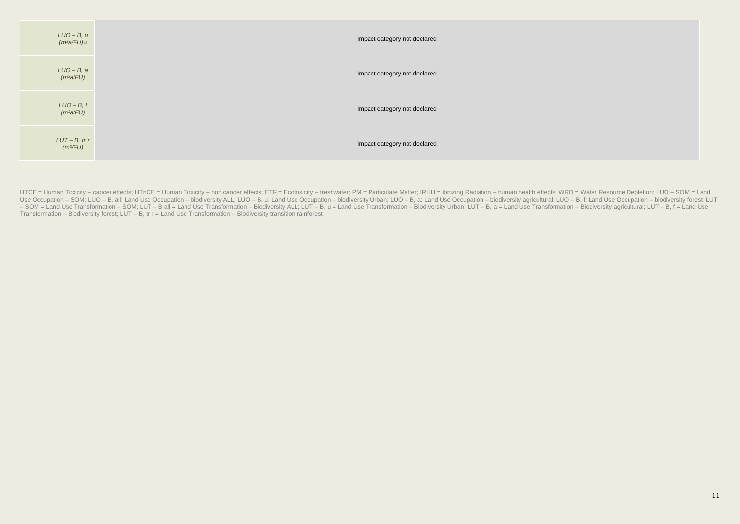| LUO – B, u<br>(m²a/FU) <b>u</b>            | Impact category not declared |
|--------------------------------------------|------------------------------|
| LUO – B, a<br>(mªa/FU)                     | Impact category not declared |
| $LUO-B, f$<br>(m <sup>2</sup> a/FU)        | Impact category not declared |
| $LUT - B$ , tr r<br>$(m$ <sup>2</sup> /FU) | Impact category not declared |

HTCE = Human Toxicity - cancer effects; HTnCE = Human Toxicity - non cancer effects; ETF = Ecotoxicity - freshwater; PM = Particulate Matter; IRHH = Ionizing Radiation - human health effects; WRD = Water Resource Depletion Use Occupation - SOM; LUO - B, all: Land Use Occupation - biodiversity ALL; LUO - B, u: Land Use Occupation - biodiversity Urban; LUO - B, a: Land Use Occupation - biodiversity at all: All A gereey at a Land Use Occupation - SOM = Land Use Transformation - SOM; LUT - B all = Land Use Transformation - Biodiversity ALL; LUT - B, u = Land Use Transformation - Biodiversity Urban; LUT - B, a = Land Use Transformation - Biodiversity agricultural; Transformation – Biodiversity forest; LUT – B, tr r = Land Use Transformation – Biodiversity transition rainforest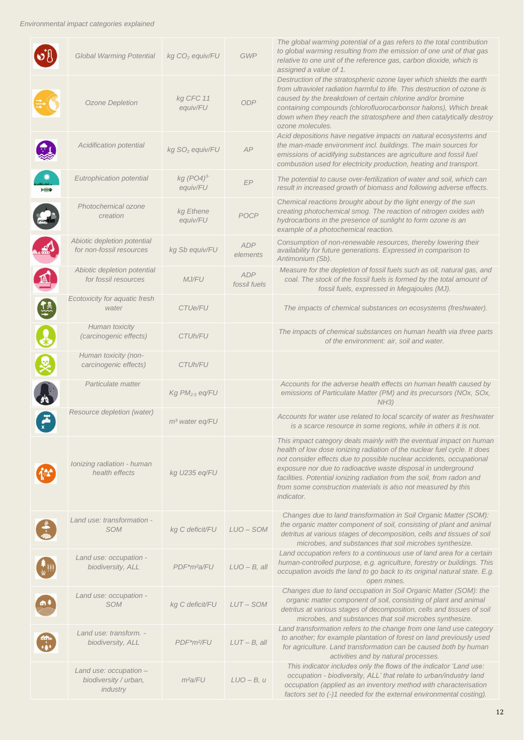|               | <b>Global Warming Potential</b>                             | kg CO <sub>2</sub> equiv/FU  | <b>GWP</b>                 | The global warming potential of a gas refers to the total contribution<br>to global warming resulting from the emission of one unit of that gas<br>relative to one unit of the reference gas, carbon dioxide, which is<br>assigned a value of 1.                                                                                                                                                                                                         |
|---------------|-------------------------------------------------------------|------------------------------|----------------------------|----------------------------------------------------------------------------------------------------------------------------------------------------------------------------------------------------------------------------------------------------------------------------------------------------------------------------------------------------------------------------------------------------------------------------------------------------------|
|               | Ozone Depletion                                             | kg CFC 11<br>equiv/FU        | <b>ODP</b>                 | Destruction of the stratospheric ozone layer which shields the earth<br>from ultraviolet radiation harmful to life. This destruction of ozone is<br>caused by the breakdown of certain chlorine and/or bromine<br>containing compounds (chlorofluorocarbonsor halons), Which break<br>down when they reach the stratosphere and then catalytically destroy<br>ozone molecules.                                                                           |
|               | Acidification potential                                     | kg SO <sub>2</sub> equiv/FU  | AP                         | Acid depositions have negative impacts on natural ecosystems and<br>the man-made environment incl. buildings. The main sources for<br>emissions of acidifying substances are agriculture and fossil fuel<br>combustion used for electricity production, heating and transport.                                                                                                                                                                           |
| HHHO          | Eutrophication potential                                    | $kg (PO4)^3$<br>equiv/FU     | EP                         | The potential to cause over-fertilization of water and soil, which can<br>result in increased growth of biomass and following adverse effects.                                                                                                                                                                                                                                                                                                           |
|               | Photochemical ozone<br>creation                             | kg Ethene<br>equiv/FU        | POCP                       | Chemical reactions brought about by the light energy of the sun<br>creating photochemical smog. The reaction of nitrogen oxides with<br>hydrocarbons in the presence of sunlight to form ozone is an<br>example of a photochemical reaction.                                                                                                                                                                                                             |
| $\mathbb{E}$  | Abiotic depletion potential<br>for non-fossil resources     | kg Sb equiv/FU               | <b>ADP</b><br>elements     | Consumption of non-renewable resources, thereby lowering their<br>availability for future generations. Expressed in comparison to<br>Antimonium (Sb).                                                                                                                                                                                                                                                                                                    |
| $\mathbb{A}$  | Abiotic depletion potential<br>for fossil resources         | <b>MJ/FU</b>                 | <b>ADP</b><br>fossil fuels | Measure for the depletion of fossil fuels such as oil, natural gas, and<br>coal. The stock of the fossil fuels is formed by the total amount of<br>fossil fuels, expressed in Megajoules (MJ).                                                                                                                                                                                                                                                           |
| $\frac{1}{2}$ | Ecotoxicity for aquatic fresh<br>water                      | <b>CTUe/FU</b>               |                            | The impacts of chemical substances on ecosystems (freshwater).                                                                                                                                                                                                                                                                                                                                                                                           |
|               | Human toxicity<br>(carcinogenic effects)                    | <i>CTUh/FU</i>               |                            | The impacts of chemical substances on human health via three parts<br>of the environment: air, soil and water.                                                                                                                                                                                                                                                                                                                                           |
|               | Human toxicity (non-<br>carcinogenic effects)               | CTUh/FU                      |                            |                                                                                                                                                                                                                                                                                                                                                                                                                                                          |
|               | Particulate matter                                          | $Kg$ PM <sub>2.5</sub> eq/FU |                            | Accounts for the adverse health effects on human health caused by<br>emissions of Particulate Matter (PM) and its precursors (NOx, SOx,<br>NH3)                                                                                                                                                                                                                                                                                                          |
| $F_x$         | Resource depletion (water)                                  | m <sup>3</sup> water eq/FU   |                            | Accounts for water use related to local scarcity of water as freshwater<br>is a scarce resource in some regions, while in others it is not.                                                                                                                                                                                                                                                                                                              |
|               | Ionizing radiation - human<br>health effects                | kg U235 eq/FU                |                            | This impact category deals mainly with the eventual impact on human<br>health of low dose ionizing radiation of the nuclear fuel cycle. It does<br>not consider effects due to possible nuclear accidents, occupational<br>exposure nor due to radioactive waste disposal in underground<br>facilities. Potential ionizing radiation from the soil, from radon and<br>from some construction materials is also not measured by this<br><i>indicator.</i> |
|               | Land use: transformation -<br><b>SOM</b>                    | kg C deficit/FU              | $LUO - SOM$                | Changes due to land transformation in Soil Organic Matter (SOM):<br>the organic matter component of soil, consisting of plant and animal<br>detritus at various stages of decomposition, cells and tissues of soil<br>microbes, and substances that soil microbes synthesize.                                                                                                                                                                            |
|               | Land use: occupation -<br>biodiversity, ALL                 | PDF*m <sup>2</sup> a/FU      | $LUO - B$ , all            | Land occupation refers to a continuous use of land area for a certain<br>human-controlled purpose, e.g. agriculture, forestry or buildings. This<br>occupation avoids the land to go back to its original natural state. E.g.<br>open mines.                                                                                                                                                                                                             |
|               | Land use: occupation -<br><b>SOM</b>                        | kg C deficit/FU              | LUT-SOM                    | Changes due to land occupation in Soil Organic Matter (SOM): the<br>organic matter component of soil, consisting of plant and animal<br>detritus at various stages of decomposition, cells and tissues of soil<br>microbes, and substances that soil microbes synthesize.                                                                                                                                                                                |
|               | Land use: transform. -<br>biodiversity, ALL                 | PDF*m <sup>2</sup> /FU       | $LUT - B$ , all            | Land transformation refers to the change from one land use category<br>to another; for example plantation of forest on land previously used<br>for agriculture. Land transformation can be caused both by human<br>activities and by natural processes.                                                                                                                                                                                                  |
|               | Land use: occupation -<br>biodiversity / urban,<br>industry | m <sup>2</sup> a/FU          | $LUO - B$ , u              | This indicator includes only the flows of the indicator 'Land use:<br>occupation - biodiversity, ALL' that relate to urban/industry land<br>occupation (applied as an inventory method with characterisation<br>factors set to (-)1 needed for the external environmental costing).                                                                                                                                                                      |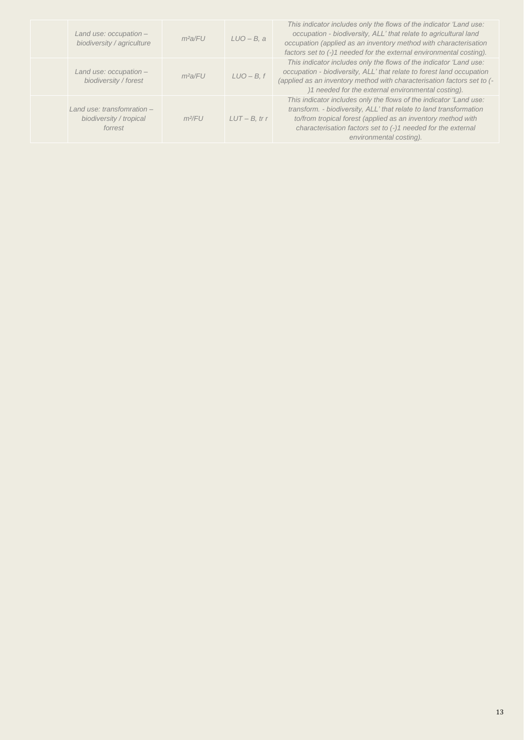| Land use: occupation -<br>biodiversity / agriculture              | $m^2a$ /FU | $LUO - B$ , a    |
|-------------------------------------------------------------------|------------|------------------|
| Land use: occupation -<br>biodiversity / forest                   | $m^2a$ /FU | $LUO - B, f$     |
| I and use: transfomration -<br>biodiversity / tropical<br>forrest | $m^2$ FU   | $LUT - B$ , tr r |

*This indicator includes only the flows of the indicator 'Land use: occupation - biodiversity, ALL' that relate to agricultural land occupation (applied as an inventory method with characterisation factors set to (-)1 needed for the external environmental costing). This indicator includes only the flows of the indicator 'Land use: occupation - biodiversity, ALL' that relate to forest land occupation (applied as an inventory method with characterisation factors set to (- )1 needed for the external environmental costing). This indicator includes only the flows of the indicator 'Land use: transform. - biodiversity, ALL' that relate to land transformation to/from tropical forest (applied as an inventory method with characterisation factors set to (-)1 needed for the external environmental costing).*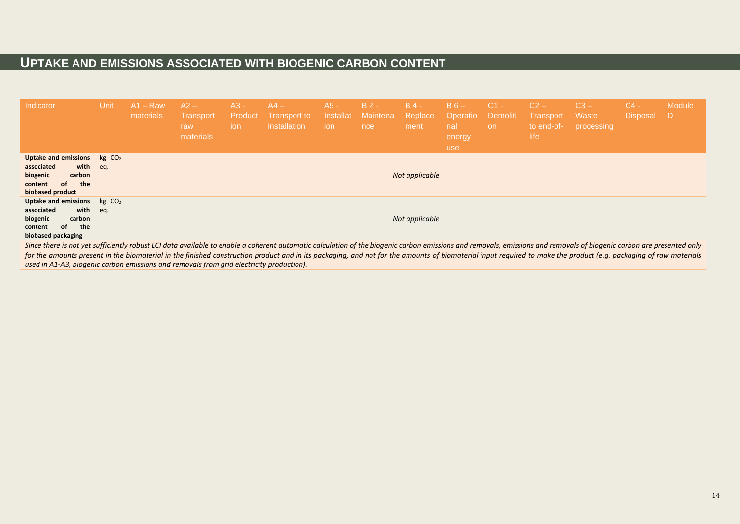# **UPTAKE AND EMISSIONS ASSOCIATED WITH BIOGENIC CARBON CONTENT**

| Indicator                                                                                                                                                                                                                                                                                                                                                                                                                                | Unit                      | A1 – Raw<br>materials | $A2 -$<br>Transport<br>raw<br>materials | $A3 -$<br>Product<br>ion | $AA -$<br>Transport to<br>installation | $A5 -$<br>Installat<br>ion | $B2 -$<br>Maintena<br>nce | $B$ 4 -<br>Replace<br>ment | $B_6 -$<br>Operatio<br>nal<br>energy<br>use | $C1 -$<br>Demoliti<br>on | $C2 -$<br><b>Transport</b><br>to end-of-<br>life | $C3 -$<br>Waste<br>processing | $C4 -$<br><b>Disposal</b> | Module<br>D |
|------------------------------------------------------------------------------------------------------------------------------------------------------------------------------------------------------------------------------------------------------------------------------------------------------------------------------------------------------------------------------------------------------------------------------------------|---------------------------|-----------------------|-----------------------------------------|--------------------------|----------------------------------------|----------------------------|---------------------------|----------------------------|---------------------------------------------|--------------------------|--------------------------------------------------|-------------------------------|---------------------------|-------------|
| Uptake and emissions<br>with<br>associated<br>biogenic<br>carbon<br>the<br>content<br>οf<br>biobased product                                                                                                                                                                                                                                                                                                                             | kg CO <sub>2</sub><br>eq. |                       |                                         |                          |                                        |                            |                           | Not applicable             |                                             |                          |                                                  |                               |                           |             |
| Uptake and emissions<br>associated<br>with<br>biogenic<br>carbon<br>the<br>content<br>οf<br>biobased packaging                                                                                                                                                                                                                                                                                                                           | kg CO <sub>2</sub><br>eq. |                       |                                         |                          |                                        |                            |                           | Not applicable             |                                             |                          |                                                  |                               |                           |             |
| Since there is not yet sufficiently robust LCI data available to enable a coherent automatic calculation of the biogenic carbon emissions and removals, emissions and removals of biogenic carbon are presented only<br>for the amounts present in the biomaterial in the finished construction product and in its packaging, and not for the amounts of biomaterial input required to make the product (e.g. packaging of raw materials |                           |                       |                                         |                          |                                        |                            |                           |                            |                                             |                          |                                                  |                               |                           |             |

*used in A1-A3, biogenic carbon emissions and removals from grid electricity production).*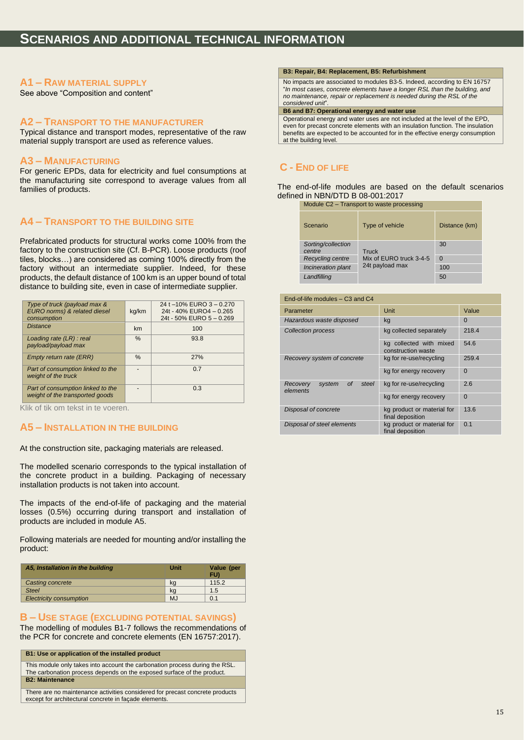### **A1 – RAW MATERIAL SUPPLY**

See above "Composition and content"

### **A2 – TRANSPORT TO THE MANUFACTURER**

Typical distance and transport modes, representative of the raw material supply transport are used as reference values.

#### **A3 – MANUFACTURING**

For generic EPDs, data for electricity and fuel consumptions at the manufacturing site correspond to average values from all families of products.

### **A4 – TRANSPORT TO THE BUILDING SITE**

Prefabricated products for structural works come 100% from the factory to the construction site (Cf. B-PCR). Loose products (roof tiles, blocks…) are considered as coming 100% directly from the factory without an intermediate supplier. Indeed, for these products, the default distance of 100 km is an upper bound of total distance to building site, even in case of intermediate supplier.

| Type of truck (payload max &<br>EURO norms) & related diesel<br>consumption | kg/km | 24 t -10% EURO 3 - 0.270<br>24t - 40% EURO4 - 0.265<br>24t - 50% EURO 5 - 0.269 |
|-----------------------------------------------------------------------------|-------|---------------------------------------------------------------------------------|
| <b>Distance</b>                                                             | km    | 100                                                                             |
| Loading rate $(LR)$ : real<br>payload/payload max                           | $\%$  | 93.8                                                                            |
| Empty return rate (ERR)                                                     | $\%$  | 27%                                                                             |
| Part of consumption linked to the<br>weight of the truck                    |       | 0.7                                                                             |
| Part of consumption linked to the<br>weight of the transported goods        |       | 0.3                                                                             |

Klik of tik om tekst in te voeren.

### **A5 – INSTALLATION IN THE BUILDING**

At the construction site, packaging materials are released.

The modelled scenario corresponds to the typical installation of the concrete product in a building. Packaging of necessary installation products is not taken into account.

The impacts of the end-of-life of packaging and the material losses (0.5%) occurring during transport and installation of products are included in module A5.

Following materials are needed for mounting and/or installing the product:

| A5, Installation in the building | Unit      | Value (per<br>FU) |
|----------------------------------|-----------|-------------------|
| Casting concrete                 | ka        | 115.2             |
| <b>Steel</b>                     | kq        | 1.5               |
| <b>Electricity consumption</b>   | <b>MJ</b> | 0.1               |

### **B – USE STAGE (EXCLUDING POTENTIAL SAVINGS)**

The modelling of modules B1-7 follows the recommendations of the PCR for concrete and concrete elements (EN 16757:2017).

**B1: Use or application of the installed product**

This module only takes into account the carbonation process during the RSL. The carbonation process depends on the exposed surface of the product. **B2: Maintenance**

There are no maintenance activities considered for precast concrete products except for architectural concrete in façade elements.

#### **B3: Repair, B4: Replacement, B5: Refurbishment**

No impacts are associated to modules B3-5. Indeed, according to EN 16757 "*In most cases, concrete elements have a longer RSL than the building, and no maintenance, repair or replacement is needed during the RSL of the considered unit*".

#### **B6 and B7: Operational energy and water use**

Operational energy and water uses are not included at the level of the EPD, even for precast concrete elements with an insulation function. The insulation benefits are expected to be accounted for in the effective energy consumption at the building level.

### **C - END OF LIFE**

The end-of-life modules are based on the default scenarios defined in NBN/DTD B 08-001:2017

Module C2 – Transport to waste processing

| Scenario                     | Type of vehicle         | Distance (km) |
|------------------------------|-------------------------|---------------|
| Sorting/collection<br>centre | Truck                   | 30            |
| <b>Recycling centre</b>      | Mix of EURO truck 3-4-5 | $\Omega$      |
| Incineration plant           | 24t payload max         | 100           |
| Landfilling                  |                         | 50            |

| End-of-life modules – C3 and C4               |                                                |          |  |  |
|-----------------------------------------------|------------------------------------------------|----------|--|--|
| Parameter                                     | Unit                                           | Value    |  |  |
| Hazardous waste disposed                      | kg                                             | $\Omega$ |  |  |
| <b>Collection process</b>                     | kg collected separately                        | 218.4    |  |  |
|                                               | kg collected with mixed<br>construction waste  | 54.6     |  |  |
| Recovery system of concrete                   | kg for re-use/recycling                        | 259.4    |  |  |
|                                               | kg for energy recovery                         | 0        |  |  |
| system<br>Οf<br>steel<br>Recovery<br>elements | kg for re-use/recycling                        | 2.6      |  |  |
|                                               | kg for energy recovery                         | $\Omega$ |  |  |
| Disposal of concrete                          | kg product or material for<br>final deposition | 13.6     |  |  |
| Disposal of steel elements                    | kg product or material for<br>final deposition | 0.1      |  |  |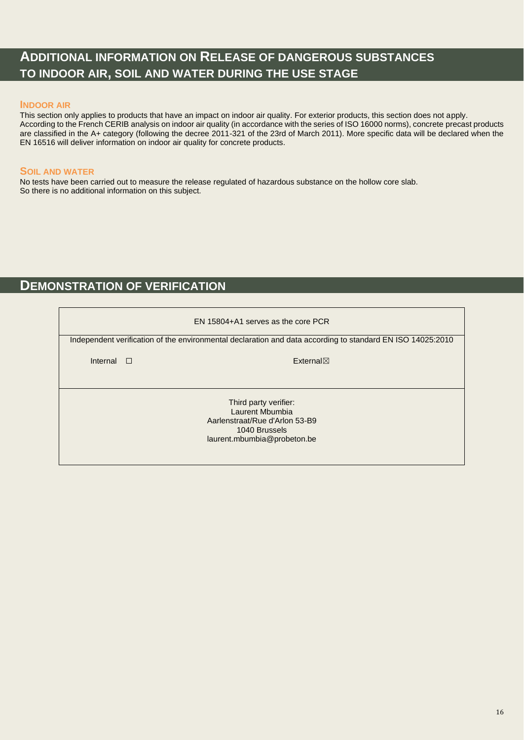# **ADDITIONAL INFORMATION ON RELEASE OF DANGEROUS SUBSTANCES TO INDOOR AIR, SOIL AND WATER DURING THE USE STAGE**

### **INDOOR AIR**

This section only applies to products that have an impact on indoor air quality. For exterior products, this section does not apply. According to the French CERIB analysis on indoor air quality (in accordance with the series of ISO 16000 norms), concrete precast products are classified in the A+ category (following the decree 2011-321 of the 23rd of March 2011). More specific data will be declared when the EN 16516 will deliver information on indoor air quality for concrete products.

### **SOIL AND WATER**

No tests have been carried out to measure the release regulated of hazardous substance on the hollow core slab. So there is no additional information on this subject.

### **DEMONSTRATION OF VERIFICATION**

| EN 15804+A1 serves as the core PCR                                                                                         |  |                                                                                                            |  |  |  |
|----------------------------------------------------------------------------------------------------------------------------|--|------------------------------------------------------------------------------------------------------------|--|--|--|
|                                                                                                                            |  | Independent verification of the environmental declaration and data according to standard EN ISO 14025:2010 |  |  |  |
|                                                                                                                            |  |                                                                                                            |  |  |  |
| Internal $\Box$                                                                                                            |  | $External\times$                                                                                           |  |  |  |
|                                                                                                                            |  |                                                                                                            |  |  |  |
| Third party verifier:<br>Laurent Mbumbia<br>Aarlenstraat/Rue d'Arlon 53-B9<br>1040 Brussels<br>laurent.mbumbia@probeton.be |  |                                                                                                            |  |  |  |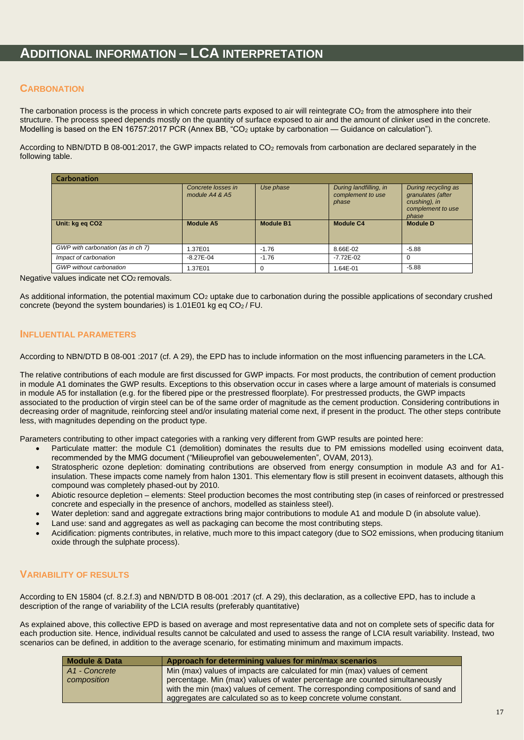### **ADDITIONAL INFORMATION – LCA INTERPRETATION**

### **CARBONATION**

The carbonation process is the process in which concrete parts exposed to air will reintegrate CO<sub>2</sub> from the atmosphere into their structure. The process speed depends mostly on the quantity of surface exposed to air and the amount of clinker used in the concrete. Modelling is based on the EN 16757:2017 PCR (Annex BB, "CO<sub>2</sub> uptake by carbonation — Guidance on calculation").

According to NBN/DTD B 08-001:2017, the GWP impacts related to CO<sub>2</sub> removals from carbonation are declared separately in the following table.

| <b>Carbonation</b>                |                                      |                  |                                                      |                                                                                         |
|-----------------------------------|--------------------------------------|------------------|------------------------------------------------------|-----------------------------------------------------------------------------------------|
|                                   | Concrete losses in<br>module A4 & A5 | Use phase        | During landfilling, in<br>complement to use<br>phase | During recycling as<br>granulates (after<br>crushing), in<br>complement to use<br>phase |
| Unit: kg eq CO2                   | <b>Module A5</b>                     | <b>Module B1</b> | <b>Module C4</b>                                     | <b>Module D</b>                                                                         |
| GWP with carbonation (as in ch 7) | <b>.37E01</b>                        | $-1.76$          | 8.66E-02                                             | $-5.88$                                                                                 |
| Impact of carbonation             | $-8.27E - 04$                        | $-1.76$          | $-7.72E - 02$                                        | $\Omega$                                                                                |
| <b>GWP</b> without carbonation    | 1.37E01                              | $\Omega$         | 1.64E-01                                             | $-5.88$                                                                                 |

Negative values indicate net CO<sub>2</sub> removals.

As additional information, the potential maximum  $CO<sub>2</sub>$  uptake due to carbonation during the possible applications of secondary crushed concrete (beyond the system boundaries) is 1.01E01 kg eq  $CO<sub>2</sub>$ /FU.

### **INFLUENTIAL PARAMETERS**

According to NBN/DTD B 08-001 :2017 (cf. A 29), the EPD has to include information on the most influencing parameters in the LCA.

The relative contributions of each module are first discussed for GWP impacts. For most products, the contribution of cement production in module A1 dominates the GWP results. Exceptions to this observation occur in cases where a large amount of materials is consumed in module A5 for installation (e.g. for the fibered pipe or the prestressed floorplate). For prestressed products, the GWP impacts associated to the production of virgin steel can be of the same order of magnitude as the cement production. Considering contributions in decreasing order of magnitude, reinforcing steel and/or insulating material come next, if present in the product. The other steps contribute less, with magnitudes depending on the product type.

Parameters contributing to other impact categories with a ranking very different from GWP results are pointed here:

- Particulate matter: the module C1 (demolition) dominates the results due to PM emissions modelled using ecoinvent data, recommended by the MMG document ("Milieuprofiel van gebouwelementen", OVAM, 2013).
- Stratospheric ozone depletion: dominating contributions are observed from energy consumption in module A3 and for A1 insulation. These impacts come namely from halon 1301. This elementary flow is still present in ecoinvent datasets, although this compound was completely phased-out by 2010.
- Abiotic resource depletion elements: Steel production becomes the most contributing step (in cases of reinforced or prestressed concrete and especially in the presence of anchors, modelled as stainless steel).
- Water depletion: sand and aggregate extractions bring major contributions to module A1 and module D (in absolute value).
- Land use: sand and aggregates as well as packaging can become the most contributing steps.
- Acidification: pigments contributes, in relative, much more to this impact category (due to SO2 emissions, when producing titanium oxide through the sulphate process).

### **VARIABILITY OF RESULTS**

According to EN 15804 (cf. 8.2.f.3) and NBN/DTD B 08-001 :2017 (cf. A 29), this declaration, as a collective EPD, has to include a description of the range of variability of the LCIA results (preferably quantitative)

As explained above, this collective EPD is based on average and most representative data and not on complete sets of specific data for each production site. Hence, individual results cannot be calculated and used to assess the range of LCIA result variability. Instead, two scenarios can be defined, in addition to the average scenario, for estimating minimum and maximum impacts.

| Module & Data             | Approach for determining values for min/max scenarios                           |
|---------------------------|---------------------------------------------------------------------------------|
| A <sub>1</sub> - Concrete | Min (max) values of impacts are calculated for min (max) values of cement       |
| composition               | percentage. Min (max) values of water percentage are counted simultaneously     |
|                           | with the min (max) values of cement. The corresponding compositions of sand and |
|                           | aggregates are calculated so as to keep concrete volume constant.               |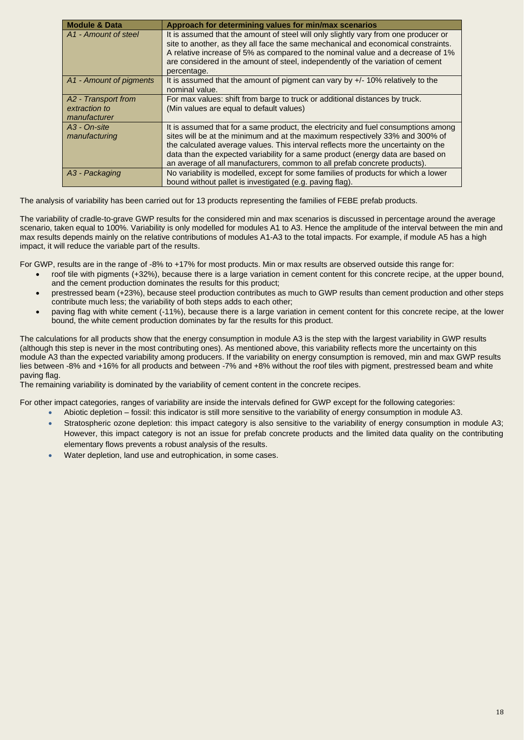| <b>Module &amp; Data</b>         | Approach for determining values for min/max scenarios                                                                                                                                                                                                                                                                                                         |
|----------------------------------|---------------------------------------------------------------------------------------------------------------------------------------------------------------------------------------------------------------------------------------------------------------------------------------------------------------------------------------------------------------|
| A <sub>1</sub> - Amount of steel | It is assumed that the amount of steel will only slightly vary from one producer or<br>site to another, as they all face the same mechanical and economical constraints.<br>A relative increase of 5% as compared to the nominal value and a decrease of 1%<br>are considered in the amount of steel, independently of the variation of cement<br>percentage. |
| A1 - Amount of pigments          | It is assumed that the amount of pigment can vary by $+/-10\%$ relatively to the<br>nominal value.                                                                                                                                                                                                                                                            |
| A2 - Transport from              | For max values: shift from barge to truck or additional distances by truck.                                                                                                                                                                                                                                                                                   |
| extraction to                    | (Min values are equal to default values)                                                                                                                                                                                                                                                                                                                      |
| manufacturer                     |                                                                                                                                                                                                                                                                                                                                                               |
| A3 - On-site                     | It is assumed that for a same product, the electricity and fuel consumptions among                                                                                                                                                                                                                                                                            |
| manufacturing                    | sites will be at the minimum and at the maximum respectively 33% and 300% of                                                                                                                                                                                                                                                                                  |
|                                  | the calculated average values. This interval reflects more the uncertainty on the                                                                                                                                                                                                                                                                             |
|                                  | data than the expected variability for a same product (energy data are based on                                                                                                                                                                                                                                                                               |
|                                  | an average of all manufacturers, common to all prefab concrete products).                                                                                                                                                                                                                                                                                     |
| A3 - Packaging                   | No variability is modelled, except for some families of products for which a lower                                                                                                                                                                                                                                                                            |
|                                  | bound without pallet is investigated (e.g. paving flag).                                                                                                                                                                                                                                                                                                      |

The analysis of variability has been carried out for 13 products representing the families of FEBE prefab products.

The variability of cradle-to-grave GWP results for the considered min and max scenarios is discussed in percentage around the average scenario, taken equal to 100%. Variability is only modelled for modules A1 to A3. Hence the amplitude of the interval between the min and max results depends mainly on the relative contributions of modules A1-A3 to the total impacts. For example, if module A5 has a high impact, it will reduce the variable part of the results.

For GWP, results are in the range of -8% to +17% for most products. Min or max results are observed outside this range for:

- roof tile with pigments (+32%), because there is a large variation in cement content for this concrete recipe, at the upper bound, and the cement production dominates the results for this product;
- prestressed beam (+23%), because steel production contributes as much to GWP results than cement production and other steps contribute much less; the variability of both steps adds to each other;
- paving flag with white cement (-11%), because there is a large variation in cement content for this concrete recipe, at the lower bound, the white cement production dominates by far the results for this product.

The calculations for all products show that the energy consumption in module A3 is the step with the largest variability in GWP results (although this step is never in the most contributing ones). As mentioned above, this variability reflects more the uncertainty on this module A3 than the expected variability among producers. If the variability on energy consumption is removed, min and max GWP results lies between -8% and +16% for all products and between -7% and +8% without the roof tiles with pigment, prestressed beam and white paving flag.

The remaining variability is dominated by the variability of cement content in the concrete recipes.

For other impact categories, ranges of variability are inside the intervals defined for GWP except for the following categories:

- Abiotic depletion fossil: this indicator is still more sensitive to the variability of energy consumption in module A3.
- Stratospheric ozone depletion: this impact category is also sensitive to the variability of energy consumption in module A3; However, this impact category is not an issue for prefab concrete products and the limited data quality on the contributing elementary flows prevents a robust analysis of the results.
- Water depletion, land use and eutrophication, in some cases.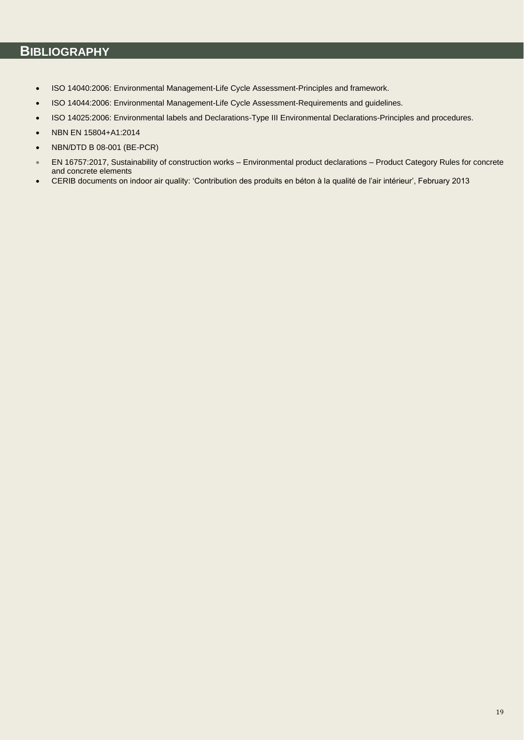# **BIBLIOGRAPHY**

- ISO 14040:2006: Environmental Management-Life Cycle Assessment-Principles and framework.
- ISO 14044:2006: Environmental Management-Life Cycle Assessment-Requirements and guidelines.
- ISO 14025:2006: Environmental labels and Declarations-Type III Environmental Declarations-Principles and procedures.
- NBN EN 15804+A1:2014
- NBN/DTD B 08-001 (BE-PCR)
- EN 16757:2017, Sustainability of construction works Environmental product declarations Product Category Rules for concrete and concrete elements
- CERIB documents on indoor air quality: 'Contribution des produits en béton à la qualité de l'air intérieur', February 2013